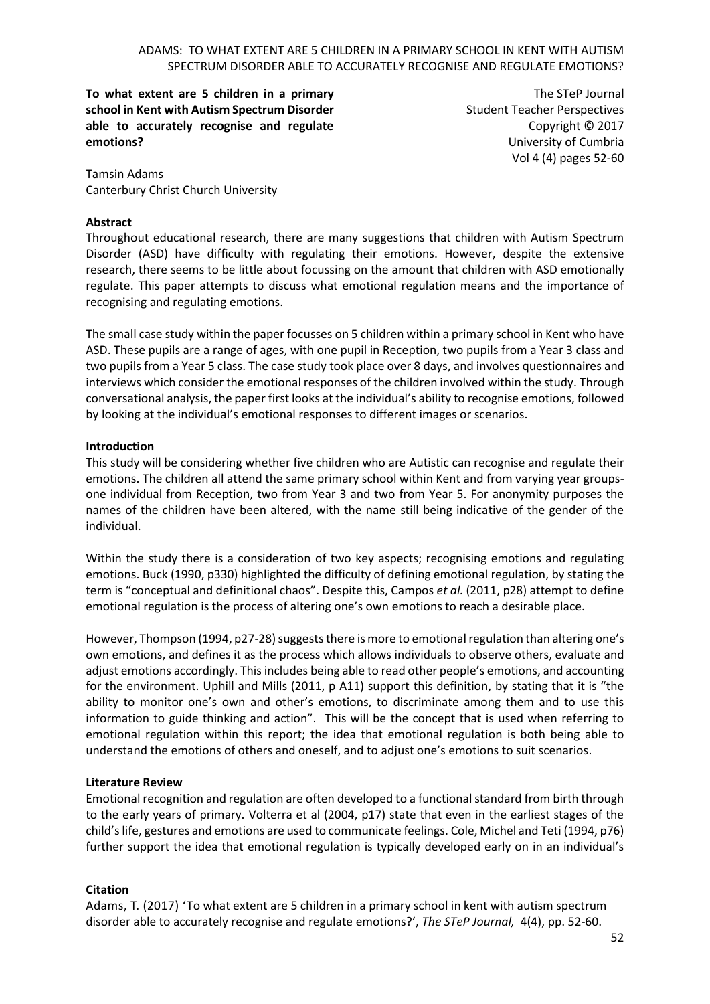**To what extent are 5 children in a primary school in Kent with Autism Spectrum Disorder able to accurately recognise and regulate emotions?**

The STeP Journal Student Teacher Perspectives Copyright © 2017 University of Cumbria Vol 4 (4) pages 52-60

Tamsin Adams Canterbury Christ Church University

### **Abstract**

Throughout educational research, there are many suggestions that children with Autism Spectrum Disorder (ASD) have difficulty with regulating their emotions. However, despite the extensive research, there seems to be little about focussing on the amount that children with ASD emotionally regulate. This paper attempts to discuss what emotional regulation means and the importance of recognising and regulating emotions.

The small case study within the paper focusses on 5 children within a primary school in Kent who have ASD. These pupils are a range of ages, with one pupil in Reception, two pupils from a Year 3 class and two pupils from a Year 5 class. The case study took place over 8 days, and involves questionnaires and interviews which consider the emotional responses of the children involved within the study. Through conversational analysis, the paper first looks at the individual's ability to recognise emotions, followed by looking at the individual's emotional responses to different images or scenarios.

#### **Introduction**

This study will be considering whether five children who are Autistic can recognise and regulate their emotions. The children all attend the same primary school within Kent and from varying year groupsone individual from Reception, two from Year 3 and two from Year 5. For anonymity purposes the names of the children have been altered, with the name still being indicative of the gender of the individual.

Within the study there is a consideration of two key aspects; recognising emotions and regulating emotions. Buck (1990, p330) highlighted the difficulty of defining emotional regulation, by stating the term is "conceptual and definitional chaos". Despite this, Campos *et al.* (2011, p28) attempt to define emotional regulation is the process of altering one's own emotions to reach a desirable place.

However, Thompson (1994, p27-28) suggests there is more to emotional regulation than altering one's own emotions, and defines it as the process which allows individuals to observe others, evaluate and adjust emotions accordingly. This includes being able to read other people's emotions, and accounting for the environment. Uphill and Mills (2011, p A11) support this definition, by stating that it is "the ability to monitor one's own and other's emotions, to discriminate among them and to use this information to guide thinking and action". This will be the concept that is used when referring to emotional regulation within this report; the idea that emotional regulation is both being able to understand the emotions of others and oneself, and to adjust one's emotions to suit scenarios.

#### **Literature Review**

Emotional recognition and regulation are often developed to a functional standard from birth through to the early years of primary. Volterra et al (2004, p17) state that even in the earliest stages of the child's life, gestures and emotions are used to communicate feelings. Cole, Michel and Teti (1994, p76) further support the idea that emotional regulation is typically developed early on in an individual's

## **Citation**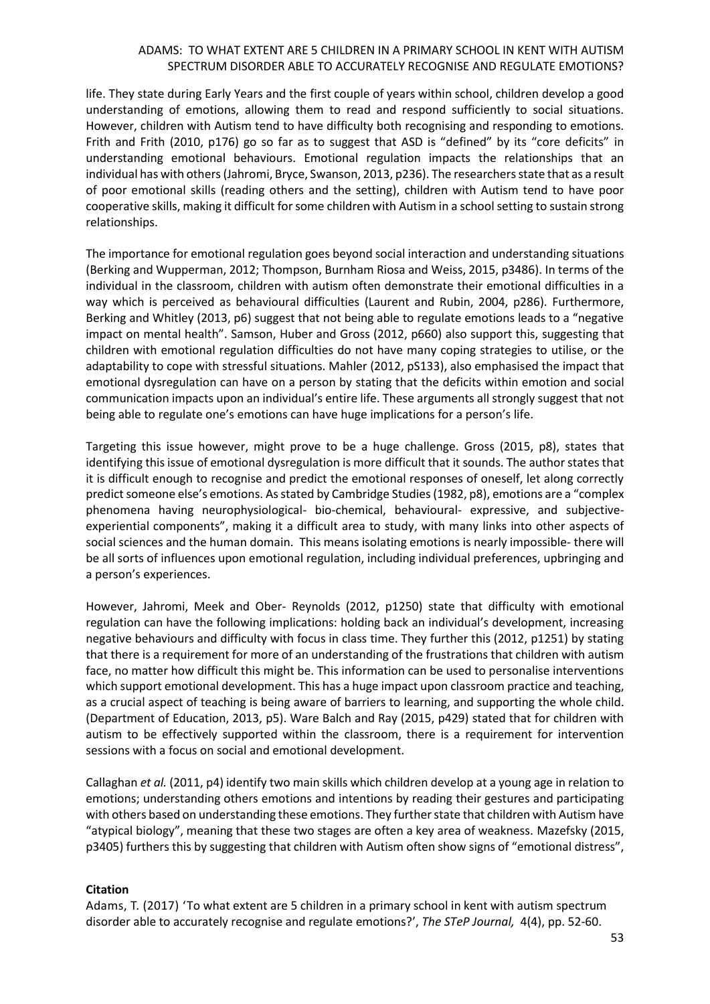life. They state during Early Years and the first couple of years within school, children develop a good understanding of emotions, allowing them to read and respond sufficiently to social situations. However, children with Autism tend to have difficulty both recognising and responding to emotions. Frith and Frith (2010, p176) go so far as to suggest that ASD is "defined" by its "core deficits" in understanding emotional behaviours. Emotional regulation impacts the relationships that an individual has with others (Jahromi, Bryce, Swanson, 2013, p236). The researchers state that as a result of poor emotional skills (reading others and the setting), children with Autism tend to have poor cooperative skills, making it difficult for some children with Autism in a school setting to sustain strong relationships.

The importance for emotional regulation goes beyond social interaction and understanding situations (Berking and Wupperman, 2012; Thompson, Burnham Riosa and Weiss, 2015, p3486). In terms of the individual in the classroom, children with autism often demonstrate their emotional difficulties in a way which is perceived as behavioural difficulties (Laurent and Rubin, 2004, p286). Furthermore, Berking and Whitley (2013, p6) suggest that not being able to regulate emotions leads to a "negative impact on mental health". Samson, Huber and Gross (2012, p660) also support this, suggesting that children with emotional regulation difficulties do not have many coping strategies to utilise, or the adaptability to cope with stressful situations. Mahler (2012, pS133), also emphasised the impact that emotional dysregulation can have on a person by stating that the deficits within emotion and social communication impacts upon an individual's entire life. These arguments all strongly suggest that not being able to regulate one's emotions can have huge implications for a person's life.

Targeting this issue however, might prove to be a huge challenge. Gross (2015, p8), states that identifying this issue of emotional dysregulation is more difficult that it sounds. The author states that it is difficult enough to recognise and predict the emotional responses of oneself, let along correctly predict someone else's emotions. As stated by Cambridge Studies (1982, p8), emotions are a "complex phenomena having neurophysiological- bio-chemical, behavioural- expressive, and subjectiveexperiential components", making it a difficult area to study, with many links into other aspects of social sciences and the human domain. This means isolating emotions is nearly impossible- there will be all sorts of influences upon emotional regulation, including individual preferences, upbringing and a person's experiences.

However, Jahromi, Meek and Ober- Reynolds (2012, p1250) state that difficulty with emotional regulation can have the following implications: holding back an individual's development, increasing negative behaviours and difficulty with focus in class time. They further this (2012, p1251) by stating that there is a requirement for more of an understanding of the frustrations that children with autism face, no matter how difficult this might be. This information can be used to personalise interventions which support emotional development. This has a huge impact upon classroom practice and teaching, as a crucial aspect of teaching is being aware of barriers to learning, and supporting the whole child. (Department of Education, 2013, p5). Ware Balch and Ray (2015, p429) stated that for children with autism to be effectively supported within the classroom, there is a requirement for intervention sessions with a focus on social and emotional development.

Callaghan *et al.* (2011, p4) identify two main skills which children develop at a young age in relation to emotions; understanding others emotions and intentions by reading their gestures and participating with others based on understanding these emotions. They further state that children with Autism have "atypical biology", meaning that these two stages are often a key area of weakness. Mazefsky (2015, p3405) furthers this by suggesting that children with Autism often show signs of "emotional distress",

## **Citation**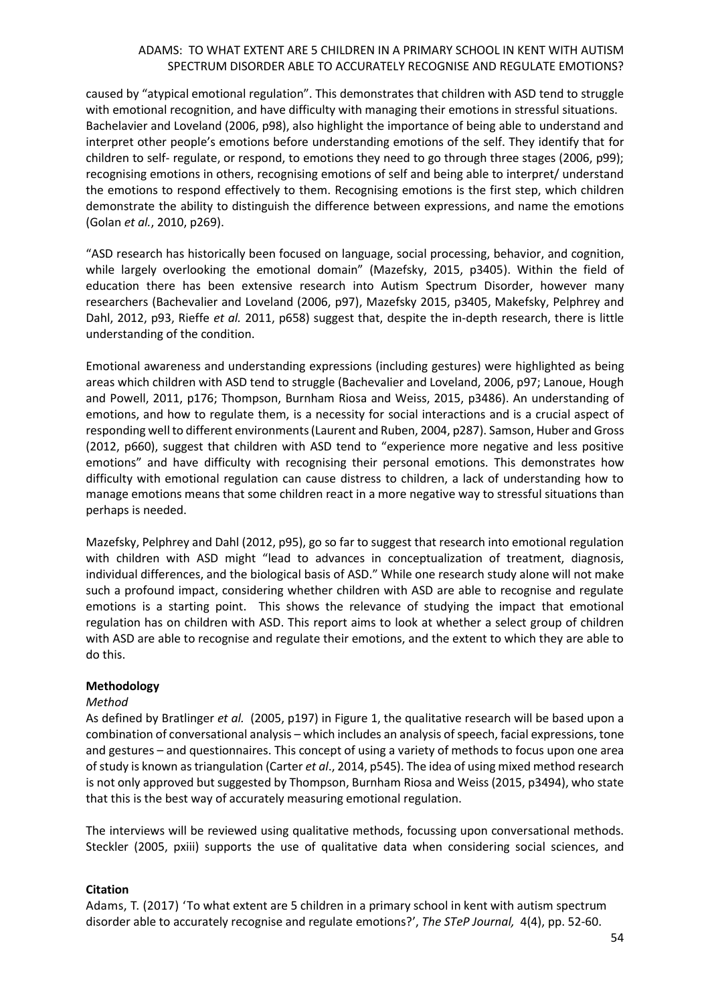caused by "atypical emotional regulation". This demonstrates that children with ASD tend to struggle with emotional recognition, and have difficulty with managing their emotions in stressful situations. Bachelavier and Loveland (2006, p98), also highlight the importance of being able to understand and interpret other people's emotions before understanding emotions of the self. They identify that for children to self- regulate, or respond, to emotions they need to go through three stages (2006, p99); recognising emotions in others, recognising emotions of self and being able to interpret/ understand the emotions to respond effectively to them. Recognising emotions is the first step, which children demonstrate the ability to distinguish the difference between expressions, and name the emotions (Golan *et al.*, 2010, p269).

"ASD research has historically been focused on language, social processing, behavior, and cognition, while largely overlooking the emotional domain" (Mazefsky, 2015, p3405). Within the field of education there has been extensive research into Autism Spectrum Disorder, however many researchers (Bachevalier and Loveland (2006, p97), Mazefsky 2015, p3405, Makefsky, Pelphrey and Dahl, 2012, p93, Rieffe *et al.* 2011, p658) suggest that, despite the in-depth research, there is little understanding of the condition.

Emotional awareness and understanding expressions (including gestures) were highlighted as being areas which children with ASD tend to struggle (Bachevalier and Loveland, 2006, p97; Lanoue, Hough and Powell, 2011, p176; Thompson, Burnham Riosa and Weiss, 2015, p3486). An understanding of emotions, and how to regulate them, is a necessity for social interactions and is a crucial aspect of responding well to different environments (Laurent and Ruben, 2004, p287). Samson, Huber and Gross (2012, p660), suggest that children with ASD tend to "experience more negative and less positive emotions" and have difficulty with recognising their personal emotions. This demonstrates how difficulty with emotional regulation can cause distress to children, a lack of understanding how to manage emotions means that some children react in a more negative way to stressful situations than perhaps is needed.

Mazefsky, Pelphrey and Dahl (2012, p95), go so far to suggest that research into emotional regulation with children with ASD might "lead to advances in conceptualization of treatment, diagnosis, individual differences, and the biological basis of ASD." While one research study alone will not make such a profound impact, considering whether children with ASD are able to recognise and regulate emotions is a starting point. This shows the relevance of studying the impact that emotional regulation has on children with ASD. This report aims to look at whether a select group of children with ASD are able to recognise and regulate their emotions, and the extent to which they are able to do this.

## **Methodology**

## *Method*

As defined by Bratlinger *et al.* (2005, p197) in Figure 1, the qualitative research will be based upon a combination of conversational analysis – which includes an analysis of speech, facial expressions, tone and gestures – and questionnaires. This concept of using a variety of methods to focus upon one area of study is known as triangulation (Carter *et al*., 2014, p545). The idea of using mixed method research is not only approved but suggested by Thompson, Burnham Riosa and Weiss (2015, p3494), who state that this is the best way of accurately measuring emotional regulation.

The interviews will be reviewed using qualitative methods, focussing upon conversational methods. Steckler (2005, pxiii) supports the use of qualitative data when considering social sciences, and

## **Citation**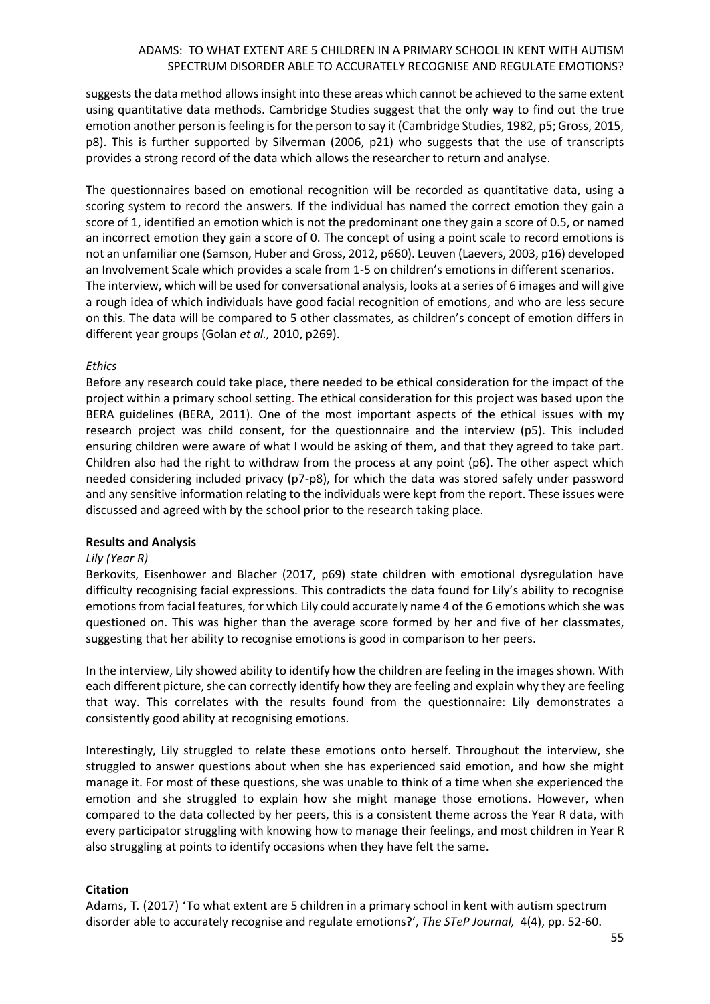suggests the data method allows insight into these areas which cannot be achieved to the same extent using quantitative data methods. Cambridge Studies suggest that the only way to find out the true emotion another person is feeling is for the person to say it (Cambridge Studies, 1982, p5; Gross, 2015, p8). This is further supported by Silverman (2006, p21) who suggests that the use of transcripts provides a strong record of the data which allows the researcher to return and analyse.

The questionnaires based on emotional recognition will be recorded as quantitative data, using a scoring system to record the answers. If the individual has named the correct emotion they gain a score of 1, identified an emotion which is not the predominant one they gain a score of 0.5, or named an incorrect emotion they gain a score of 0. The concept of using a point scale to record emotions is not an unfamiliar one (Samson, Huber and Gross, 2012, p660). Leuven (Laevers, 2003, p16) developed an Involvement Scale which provides a scale from 1-5 on children's emotions in different scenarios. The interview, which will be used for conversational analysis, looks at a series of 6 images and will give a rough idea of which individuals have good facial recognition of emotions, and who are less secure on this. The data will be compared to 5 other classmates, as children's concept of emotion differs in different year groups (Golan *et al.,* 2010, p269).

### *Ethics*

Before any research could take place, there needed to be ethical consideration for the impact of the project within a primary school setting. The ethical consideration for this project was based upon the BERA guidelines (BERA, 2011). One of the most important aspects of the ethical issues with my research project was child consent, for the questionnaire and the interview (p5). This included ensuring children were aware of what I would be asking of them, and that they agreed to take part. Children also had the right to withdraw from the process at any point (p6). The other aspect which needed considering included privacy (p7-p8), for which the data was stored safely under password and any sensitive information relating to the individuals were kept from the report. These issues were discussed and agreed with by the school prior to the research taking place.

## **Results and Analysis**

#### *Lily (Year R)*

Berkovits, Eisenhower and Blacher (2017, p69) state children with emotional dysregulation have difficulty recognising facial expressions. This contradicts the data found for Lily's ability to recognise emotions from facial features, for which Lily could accurately name 4 of the 6 emotions which she was questioned on. This was higher than the average score formed by her and five of her classmates, suggesting that her ability to recognise emotions is good in comparison to her peers.

In the interview, Lily showed ability to identify how the children are feeling in the images shown. With each different picture, she can correctly identify how they are feeling and explain why they are feeling that way. This correlates with the results found from the questionnaire: Lily demonstrates a consistently good ability at recognising emotions.

Interestingly, Lily struggled to relate these emotions onto herself. Throughout the interview, she struggled to answer questions about when she has experienced said emotion, and how she might manage it. For most of these questions, she was unable to think of a time when she experienced the emotion and she struggled to explain how she might manage those emotions. However, when compared to the data collected by her peers, this is a consistent theme across the Year R data, with every participator struggling with knowing how to manage their feelings, and most children in Year R also struggling at points to identify occasions when they have felt the same.

## **Citation**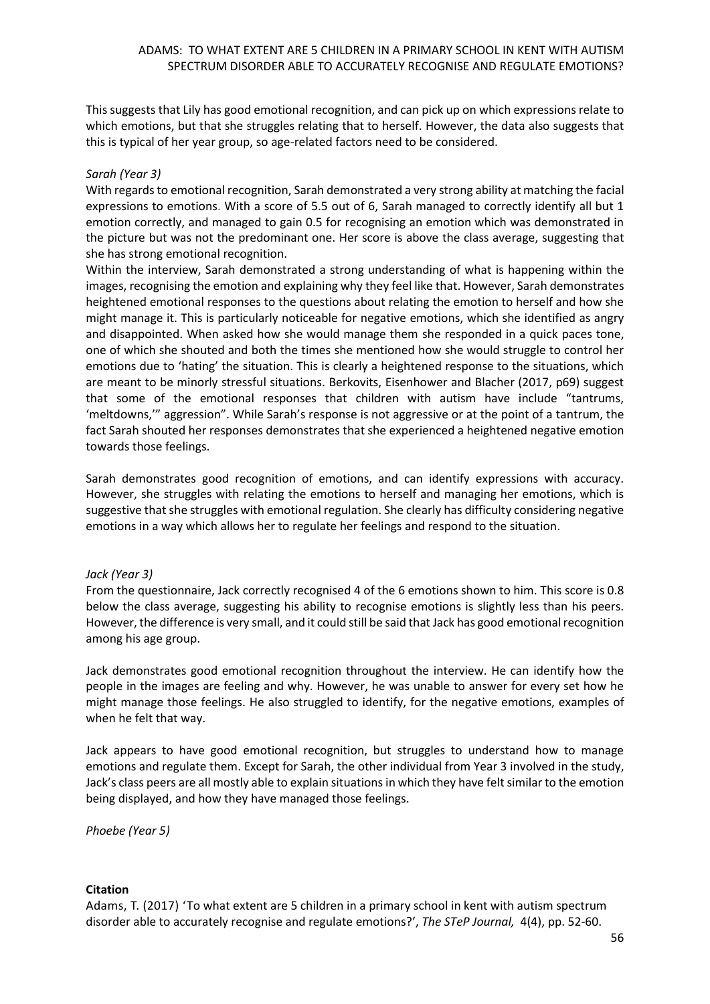This suggests that Lily has good emotional recognition, and can pick up on which expressions relate to which emotions, but that she struggles relating that to herself. However, the data also suggests that this is typical of her year group, so age-related factors need to be considered.

## *Sarah (Year 3)*

With regards to emotional recognition, Sarah demonstrated a very strong ability at matching the facial expressions to emotions. With a score of 5.5 out of 6, Sarah managed to correctly identify all but 1 emotion correctly, and managed to gain 0.5 for recognising an emotion which was demonstrated in the picture but was not the predominant one. Her score is above the class average, suggesting that she has strong emotional recognition.

Within the interview, Sarah demonstrated a strong understanding of what is happening within the images, recognising the emotion and explaining why they feel like that. However, Sarah demonstrates heightened emotional responses to the questions about relating the emotion to herself and how she might manage it. This is particularly noticeable for negative emotions, which she identified as angry and disappointed. When asked how she would manage them she responded in a quick paces tone, one of which she shouted and both the times she mentioned how she would struggle to control her emotions due to 'hating' the situation. This is clearly a heightened response to the situations, which are meant to be minorly stressful situations. Berkovits, Eisenhower and Blacher (2017, p69) suggest that some of the emotional responses that children with autism have include "tantrums, 'meltdowns,'" aggression". While Sarah's response is not aggressive or at the point of a tantrum, the fact Sarah shouted her responses demonstrates that she experienced a heightened negative emotion towards those feelings.

Sarah demonstrates good recognition of emotions, and can identify expressions with accuracy. However, she struggles with relating the emotions to herself and managing her emotions, which is suggestive that she struggles with emotional regulation. She clearly has difficulty considering negative emotions in a way which allows her to regulate her feelings and respond to the situation.

## *Jack (Year 3)*

From the questionnaire, Jack correctly recognised 4 of the 6 emotions shown to him. This score is 0.8 below the class average, suggesting his ability to recognise emotions is slightly less than his peers. However, the difference is very small, and it could still be said that Jack has good emotional recognition among his age group.

Jack demonstrates good emotional recognition throughout the interview. He can identify how the people in the images are feeling and why. However, he was unable to answer for every set how he might manage those feelings. He also struggled to identify, for the negative emotions, examples of when he felt that way.

Jack appears to have good emotional recognition, but struggles to understand how to manage emotions and regulate them. Except for Sarah, the other individual from Year 3 involved in the study, Jack's class peers are all mostly able to explain situations in which they have felt similar to the emotion being displayed, and how they have managed those feelings.

*Phoebe (Year 5)*

## **Citation**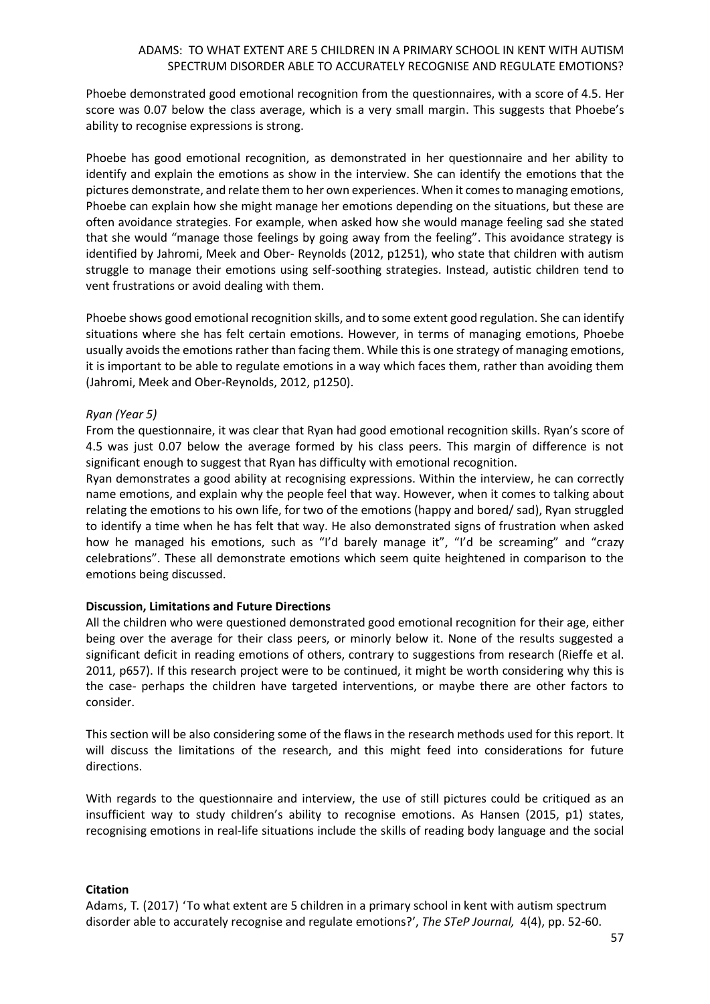Phoebe demonstrated good emotional recognition from the questionnaires, with a score of 4.5. Her score was 0.07 below the class average, which is a very small margin. This suggests that Phoebe's ability to recognise expressions is strong.

Phoebe has good emotional recognition, as demonstrated in her questionnaire and her ability to identify and explain the emotions as show in the interview. She can identify the emotions that the pictures demonstrate, and relate them to her own experiences. When it comes to managing emotions, Phoebe can explain how she might manage her emotions depending on the situations, but these are often avoidance strategies. For example, when asked how she would manage feeling sad she stated that she would "manage those feelings by going away from the feeling". This avoidance strategy is identified by Jahromi, Meek and Ober- Reynolds (2012, p1251), who state that children with autism struggle to manage their emotions using self-soothing strategies. Instead, autistic children tend to vent frustrations or avoid dealing with them.

Phoebe shows good emotional recognition skills, and to some extent good regulation. She can identify situations where she has felt certain emotions. However, in terms of managing emotions, Phoebe usually avoids the emotions rather than facing them. While this is one strategy of managing emotions, it is important to be able to regulate emotions in a way which faces them, rather than avoiding them (Jahromi, Meek and Ober-Reynolds, 2012, p1250).

## *Ryan (Year 5)*

From the questionnaire, it was clear that Ryan had good emotional recognition skills. Ryan's score of 4.5 was just 0.07 below the average formed by his class peers. This margin of difference is not significant enough to suggest that Ryan has difficulty with emotional recognition.

Ryan demonstrates a good ability at recognising expressions. Within the interview, he can correctly name emotions, and explain why the people feel that way. However, when it comes to talking about relating the emotions to his own life, for two of the emotions (happy and bored/ sad), Ryan struggled to identify a time when he has felt that way. He also demonstrated signs of frustration when asked how he managed his emotions, such as "I'd barely manage it", "I'd be screaming" and "crazy celebrations". These all demonstrate emotions which seem quite heightened in comparison to the emotions being discussed.

## **Discussion, Limitations and Future Directions**

All the children who were questioned demonstrated good emotional recognition for their age, either being over the average for their class peers, or minorly below it. None of the results suggested a significant deficit in reading emotions of others, contrary to suggestions from research (Rieffe et al. 2011, p657). If this research project were to be continued, it might be worth considering why this is the case- perhaps the children have targeted interventions, or maybe there are other factors to consider.

This section will be also considering some of the flaws in the research methods used for this report. It will discuss the limitations of the research, and this might feed into considerations for future directions.

With regards to the questionnaire and interview, the use of still pictures could be critiqued as an insufficient way to study children's ability to recognise emotions. As Hansen (2015, p1) states, recognising emotions in real-life situations include the skills of reading body language and the social

## **Citation**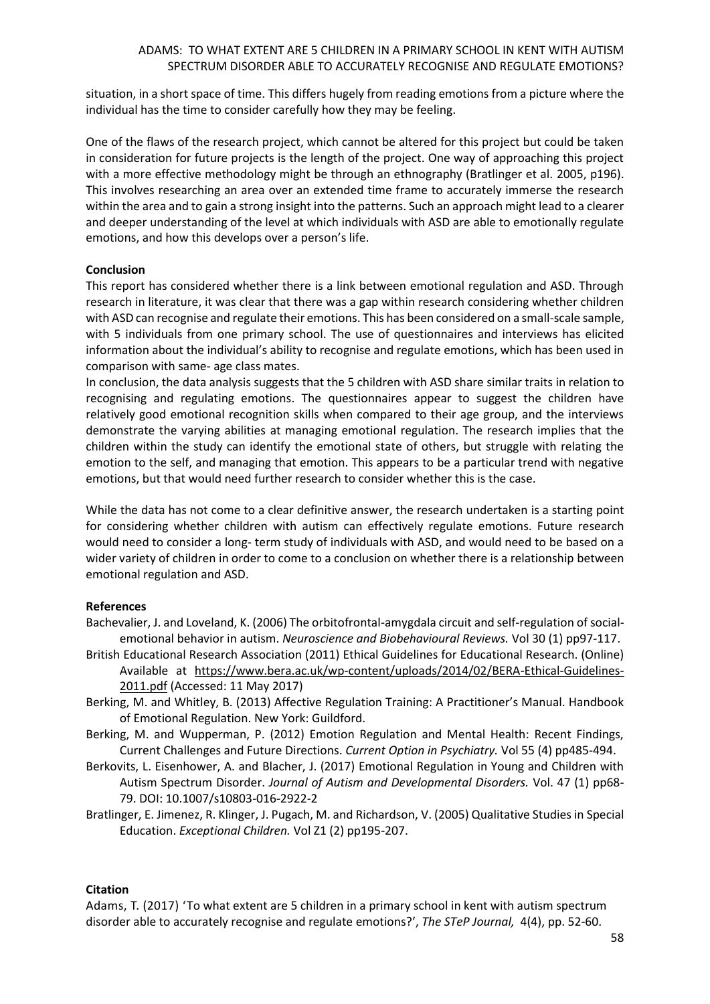situation, in a short space of time. This differs hugely from reading emotions from a picture where the individual has the time to consider carefully how they may be feeling.

One of the flaws of the research project, which cannot be altered for this project but could be taken in consideration for future projects is the length of the project. One way of approaching this project with a more effective methodology might be through an ethnography (Bratlinger et al. 2005, p196). This involves researching an area over an extended time frame to accurately immerse the research within the area and to gain a strong insight into the patterns. Such an approach might lead to a clearer and deeper understanding of the level at which individuals with ASD are able to emotionally regulate emotions, and how this develops over a person's life.

## **Conclusion**

This report has considered whether there is a link between emotional regulation and ASD. Through research in literature, it was clear that there was a gap within research considering whether children with ASD can recognise and regulate their emotions. This has been considered on a small-scale sample, with 5 individuals from one primary school. The use of questionnaires and interviews has elicited information about the individual's ability to recognise and regulate emotions, which has been used in comparison with same- age class mates.

In conclusion, the data analysis suggests that the 5 children with ASD share similar traits in relation to recognising and regulating emotions. The questionnaires appear to suggest the children have relatively good emotional recognition skills when compared to their age group, and the interviews demonstrate the varying abilities at managing emotional regulation. The research implies that the children within the study can identify the emotional state of others, but struggle with relating the emotion to the self, and managing that emotion. This appears to be a particular trend with negative emotions, but that would need further research to consider whether this is the case.

While the data has not come to a clear definitive answer, the research undertaken is a starting point for considering whether children with autism can effectively regulate emotions. Future research would need to consider a long- term study of individuals with ASD, and would need to be based on a wider variety of children in order to come to a conclusion on whether there is a relationship between emotional regulation and ASD.

## **References**

- Bachevalier, J. and Loveland, K. (2006) The orbitofrontal-amygdala circuit and self-regulation of socialemotional behavior in autism. *Neuroscience and Biobehavioural Reviews.* Vol 30 (1) pp97-117.
- British Educational Research Association (2011) Ethical Guidelines for Educational Research. (Online) Available at [https://www.bera.ac.uk/wp-content/uploads/2014/02/BERA-Ethical-Guidelines-](https://www.bera.ac.uk/wp-content/uploads/2014/02/BERA-Ethical-Guidelines-2011.pdf)[2011.pdf](https://www.bera.ac.uk/wp-content/uploads/2014/02/BERA-Ethical-Guidelines-2011.pdf) (Accessed: 11 May 2017)
- Berking, M. and Whitley, B. (2013) Affective Regulation Training: A Practitioner's Manual. Handbook of Emotional Regulation. New York: Guildford.
- Berking, M. and Wupperman, P. (2012) Emotion Regulation and Mental Health: Recent Findings, Current Challenges and Future Directions. *Current Option in Psychiatry.* Vol 55 (4) pp485-494.
- Berkovits, L. Eisenhower, A. and Blacher, J. (2017) Emotional Regulation in Young and Children with Autism Spectrum Disorder. *Journal of Autism and Developmental Disorders.* Vol. 47 (1) pp68- 79. DOI: 10.1007/s10803-016-2922-2
- Bratlinger, E. Jimenez, R. Klinger, J. Pugach, M. and Richardson, V. (2005) Qualitative Studies in Special Education. *Exceptional Children.* Vol Z1 (2) pp195-207.

## **Citation**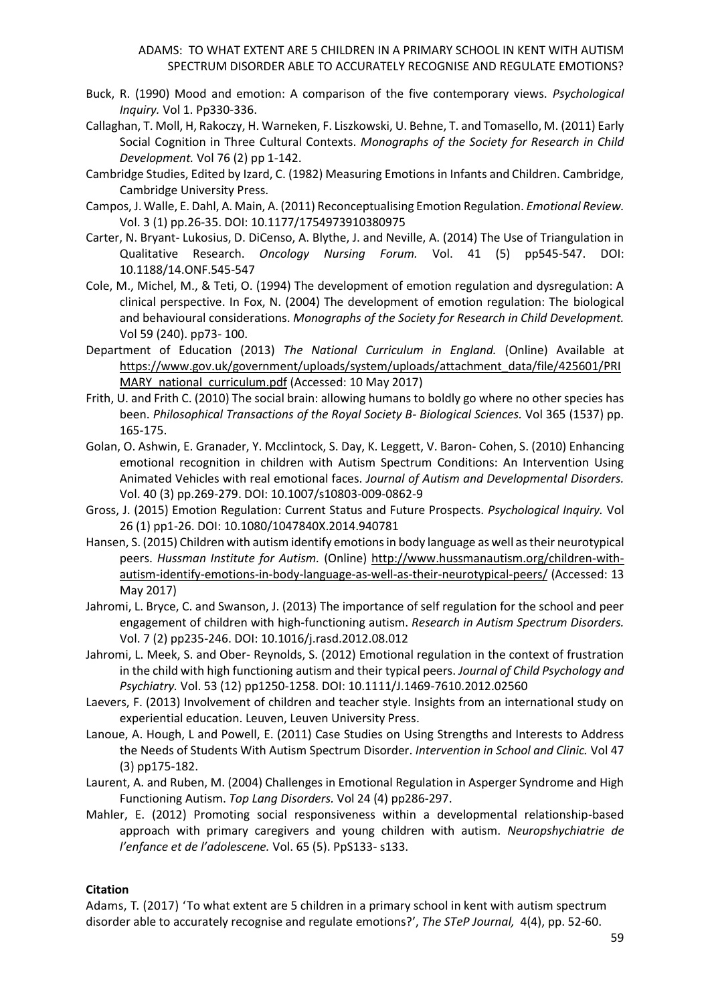- Buck, R. (1990) Mood and emotion: A comparison of the five contemporary views. *Psychological Inquiry.* Vol 1. Pp330-336.
- Callaghan, T. Moll, H, Rakoczy, H. Warneken, F. Liszkowski, U. Behne, T. and Tomasello, M. (2011) Early Social Cognition in Three Cultural Contexts. *Monographs of the Society for Research in Child Development.* Vol 76 (2) pp 1-142.
- Cambridge Studies, Edited by Izard, C. (1982) Measuring Emotions in Infants and Children. Cambridge, Cambridge University Press.
- Campos, J. Walle, E. Dahl, A. Main, A. (2011) Reconceptualising Emotion Regulation. *Emotional Review.* Vol. 3 (1) pp.26-35. DOI: 10.1177/1754973910380975
- Carter, N. Bryant- Lukosius, D. DiCenso, A. Blythe, J. and Neville, A. (2014) The Use of Triangulation in Qualitative Research. *Oncology Nursing Forum.* Vol. 41 (5) pp545-547. DOI: 10.1188/14.ONF.545-547
- Cole, M., Michel, M., & Teti, O. (1994) The development of emotion regulation and dysregulation: A clinical perspective. In Fox, N. (2004) The development of emotion regulation: The biological and behavioural considerations. *Monographs of the Society for Research in Child Development.*  Vol 59 (240). pp73- 100.
- Department of Education (2013) *The National Curriculum in England.* (Online) Available at [https://www.gov.uk/government/uploads/system/uploads/attachment\\_data/file/425601/PRI](https://www.gov.uk/government/uploads/system/uploads/attachment_data/file/425601/PRIMARY_national_curriculum.pdf) [MARY\\_national\\_curriculum.pdf](https://www.gov.uk/government/uploads/system/uploads/attachment_data/file/425601/PRIMARY_national_curriculum.pdf) (Accessed: 10 May 2017)
- Frith, U. and Frith C. (2010) The social brain: allowing humans to boldly go where no other species has been. *Philosophical Transactions of the Royal Society B- Biological Sciences.* Vol 365 (1537) pp. 165-175.
- Golan, O. Ashwin, E. Granader, Y. Mcclintock, S. Day, K. Leggett, V. Baron- Cohen, S. (2010) Enhancing emotional recognition in children with Autism Spectrum Conditions: An Intervention Using Animated Vehicles with real emotional faces. *Journal of Autism and Developmental Disorders.*  Vol. 40 (3) pp.269-279. DOI: 10.1007/s10803-009-0862-9
- Gross, J. (2015) Emotion Regulation: Current Status and Future Prospects. *Psychological Inquiry.* Vol 26 (1) pp1-26. DOI: 10.1080/1047840X.2014.940781
- Hansen, S. (2015) Children with autism identify emotions in body language as well as their neurotypical peers. *Hussman Institute for Autism.* (Online) [http://www.hussmanautism.org/children-with](http://www.hussmanautism.org/children-with-autism-identify-emotions-in-body-language-as-well-as-their-neurotypical-peers/)[autism-identify-emotions-in-body-language-as-well-as-their-neurotypical-peers/](http://www.hussmanautism.org/children-with-autism-identify-emotions-in-body-language-as-well-as-their-neurotypical-peers/) (Accessed: 13 May 2017)
- Jahromi, L. Bryce, C. and Swanson, J. (2013) The importance of self regulation for the school and peer engagement of children with high-functioning autism. *Research in Autism Spectrum Disorders.* Vol. 7 (2) pp235-246. DOI: 10.1016/j.rasd.2012.08.012
- Jahromi, L. Meek, S. and Ober- Reynolds, S. (2012) Emotional regulation in the context of frustration in the child with high functioning autism and their typical peers. *Journal of Child Psychology and Psychiatry.* Vol. 53 (12) pp1250-1258. DOI: 10.1111/J.1469-7610.2012.02560
- Laevers, F. (2013) Involvement of children and teacher style. Insights from an international study on experiential education. Leuven, Leuven University Press.
- Lanoue, A. Hough, L and Powell, E. (2011) Case Studies on Using Strengths and Interests to Address the Needs of Students With Autism Spectrum Disorder. *Intervention in School and Clinic.* Vol 47 (3) pp175-182.
- Laurent, A. and Ruben, M. (2004) Challenges in Emotional Regulation in Asperger Syndrome and High Functioning Autism. *Top Lang Disorders.* Vol 24 (4) pp286-297.
- Mahler, E. (2012) Promoting social responsiveness within a developmental relationship-based approach with primary caregivers and young children with autism. *Neuropshychiatrie de l'enfance et de l'adolescene.* Vol. 65 (5). PpS133- s133.

# **Citation**